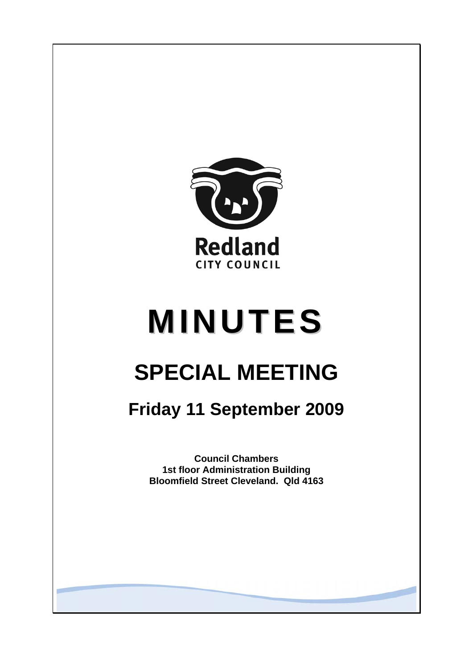

# **MINUTES**

# **SPECIAL MEETING**

## **Friday 11 September 2009**

**Council Chambers 1st floor Administration Building Bloomfield Street Cleveland. Qld 4163**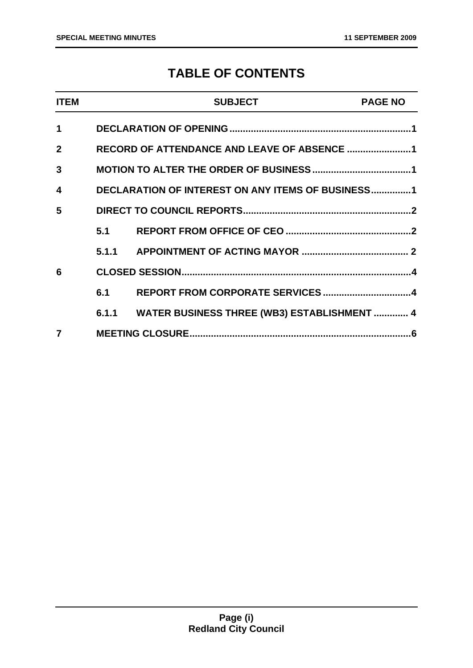### **TABLE OF CONTENTS**

| <b>ITEM</b>  |     | <b>SUBJECT</b>                                    | <b>PAGE NO</b> |
|--------------|-----|---------------------------------------------------|----------------|
| 1            |     |                                                   |                |
| $\mathbf{2}$ |     | RECORD OF ATTENDANCE AND LEAVE OF ABSENCE 1       |                |
| 3            |     |                                                   |                |
| 4            |     | DECLARATION OF INTEREST ON ANY ITEMS OF BUSINESS1 |                |
| 5            |     |                                                   |                |
|              | 5.1 |                                                   |                |
|              |     |                                                   |                |
| 6            |     |                                                   |                |
|              | 6.1 |                                                   |                |
|              |     | 6.1.1 WATER BUSINESS THREE (WB3) ESTABLISHMENT  4 |                |
|              |     |                                                   |                |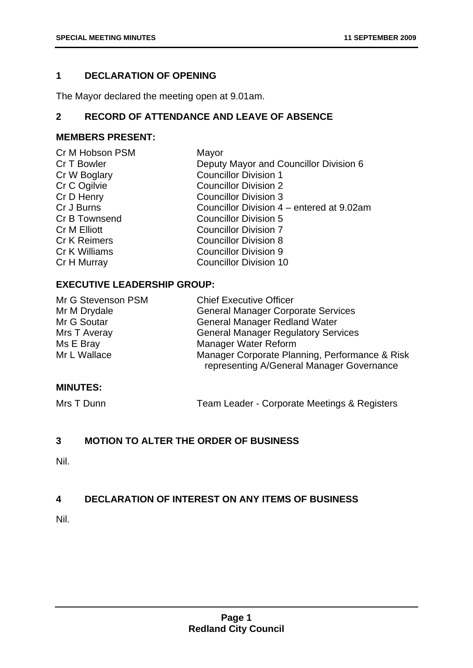#### <span id="page-2-0"></span>**1 DECLARATION OF OPENING**

The Mayor declared the meeting open at 9.01am.

#### **2 RECORD OF ATTENDANCE AND LEAVE OF ABSENCE**

#### **MEMBERS PRESENT:**

| Cr M Hobson PSM     | Mayor                                     |
|---------------------|-------------------------------------------|
| Cr T Bowler         | Deputy Mayor and Councillor Division 6    |
| Cr W Boglary        | <b>Councillor Division 1</b>              |
| Cr C Ogilvie        | <b>Councillor Division 2</b>              |
| Cr D Henry          | <b>Councillor Division 3</b>              |
| Cr J Burns          | Councillor Division 4 – entered at 9.02am |
| Cr B Townsend       | <b>Councillor Division 5</b>              |
| Cr M Elliott        | <b>Councillor Division 7</b>              |
| <b>Cr K Reimers</b> | <b>Councillor Division 8</b>              |
| Cr K Williams       | <b>Councillor Division 9</b>              |
| Cr H Murray         | <b>Councillor Division 10</b>             |
|                     |                                           |

#### **EXECUTIVE LEADERSHIP GROUP:**

| Mr G Stevenson PSM | <b>Chief Executive Officer</b>                                                              |
|--------------------|---------------------------------------------------------------------------------------------|
| Mr M Drydale       | <b>General Manager Corporate Services</b>                                                   |
| Mr G Soutar        | <b>General Manager Redland Water</b>                                                        |
| Mrs T Averay       | <b>General Manager Regulatory Services</b>                                                  |
| Ms E Bray          | Manager Water Reform                                                                        |
| Mr L Wallace       | Manager Corporate Planning, Performance & Risk<br>representing A/General Manager Governance |

#### **MINUTES:**

Mrs T Dunn Team Leader - Corporate Meetings & Registers

#### **3 MOTION TO ALTER THE ORDER OF BUSINESS**

Nil.

#### **4 DECLARATION OF INTEREST ON ANY ITEMS OF BUSINESS**

Nil.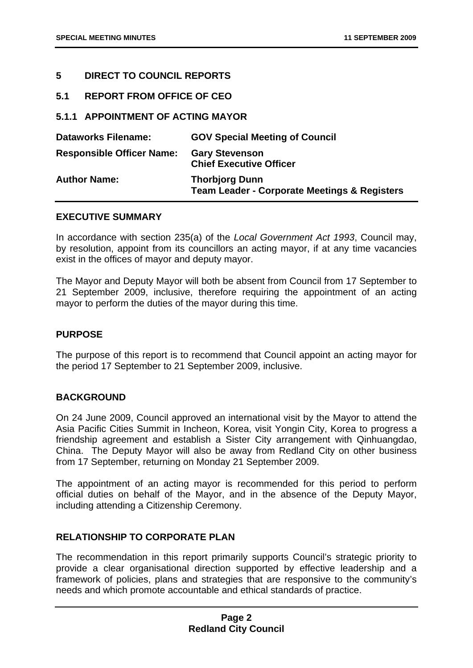#### <span id="page-3-0"></span>**5 DIRECT TO COUNCIL REPORTS**

**5.1 REPORT FROM OFFICE OF CEO** 

#### **5.1.1 APPOINTMENT OF ACTING MAYOR**

| <b>Dataworks Filename:</b>       | <b>GOV Special Meeting of Council</b>                                            |
|----------------------------------|----------------------------------------------------------------------------------|
| <b>Responsible Officer Name:</b> | <b>Gary Stevenson</b><br><b>Chief Executive Officer</b>                          |
| <b>Author Name:</b>              | <b>Thorbjorg Dunn</b><br><b>Team Leader - Corporate Meetings &amp; Registers</b> |

#### **EXECUTIVE SUMMARY**

In accordance with section 235(a) of the *Local Government Act 1993*, Council may, by resolution, appoint from its councillors an acting mayor, if at any time vacancies exist in the offices of mayor and deputy mayor.

The Mayor and Deputy Mayor will both be absent from Council from 17 September to 21 September 2009, inclusive, therefore requiring the appointment of an acting mayor to perform the duties of the mayor during this time.

#### **PURPOSE**

The purpose of this report is to recommend that Council appoint an acting mayor for the period 17 September to 21 September 2009, inclusive.

#### **BACKGROUND**

On 24 June 2009, Council approved an international visit by the Mayor to attend the Asia Pacific Cities Summit in Incheon, Korea, visit Yongin City, Korea to progress a friendship agreement and establish a Sister City arrangement with Qinhuangdao, China. The Deputy Mayor will also be away from Redland City on other business from 17 September, returning on Monday 21 September 2009.

The appointment of an acting mayor is recommended for this period to perform official duties on behalf of the Mayor, and in the absence of the Deputy Mayor, including attending a Citizenship Ceremony.

#### **RELATIONSHIP TO CORPORATE PLAN**

The recommendation in this report primarily supports Council's strategic priority to provide a clear organisational direction supported by effective leadership and a framework of policies, plans and strategies that are responsive to the community's needs and which promote accountable and ethical standards of practice.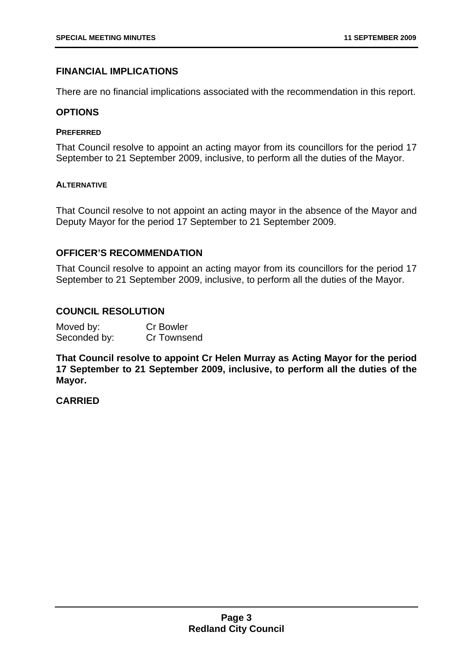#### **FINANCIAL IMPLICATIONS**

There are no financial implications associated with the recommendation in this report.

#### **OPTIONS**

#### **PREFERRED**

That Council resolve to appoint an acting mayor from its councillors for the period 17 September to 21 September 2009, inclusive, to perform all the duties of the Mayor.

#### **ALTERNATIVE**

That Council resolve to not appoint an acting mayor in the absence of the Mayor and Deputy Mayor for the period 17 September to 21 September 2009.

#### **OFFICER'S RECOMMENDATION**

That Council resolve to appoint an acting mayor from its councillors for the period 17 September to 21 September 2009, inclusive, to perform all the duties of the Mayor.

#### **COUNCIL RESOLUTION**

| Moved by:    | <b>Cr Bowler</b> |
|--------------|------------------|
| Seconded by: | Cr Townsend      |

**That Council resolve to appoint Cr Helen Murray as Acting Mayor for the period 17 September to 21 September 2009, inclusive, to perform all the duties of the Mayor.** 

#### **CARRIED**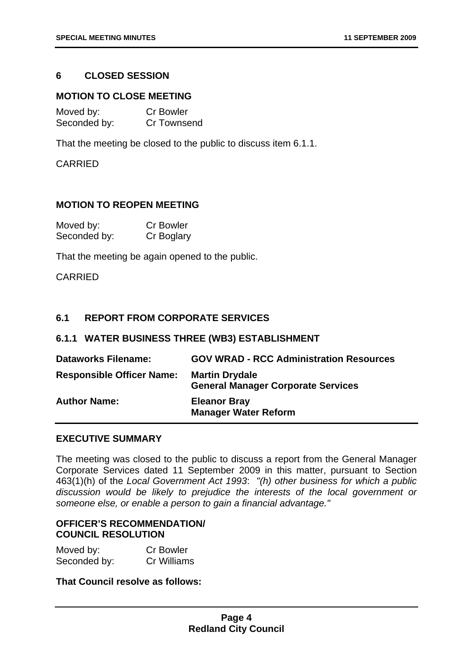#### <span id="page-5-0"></span>**6 CLOSED SESSION**

#### **MOTION TO CLOSE MEETING**

| Moved by:    | <b>Cr Bowler</b> |
|--------------|------------------|
| Seconded by: | Cr Townsend      |

That the meeting be closed to the public to discuss item 6.1.1.

CARRIED

#### **MOTION TO REOPEN MEETING**

| Moved by:    | <b>Cr Bowler</b> |
|--------------|------------------|
| Seconded by: | Cr Boglary       |

That the meeting be again opened to the public.

CARRIED

#### **6.1 REPORT FROM CORPORATE SERVICES**

#### **6.1.1 WATER BUSINESS THREE (WB3) ESTABLISHMENT**

| <b>Dataworks Filename:</b>       | <b>GOV WRAD - RCC Administration Resources</b>                     |
|----------------------------------|--------------------------------------------------------------------|
| <b>Responsible Officer Name:</b> | <b>Martin Drydale</b><br><b>General Manager Corporate Services</b> |
| <b>Author Name:</b>              | <b>Eleanor Bray</b><br><b>Manager Water Reform</b>                 |

#### **EXECUTIVE SUMMARY**

The meeting was closed to the public to discuss a report from the General Manager Corporate Services dated 11 September 2009 in this matter, pursuant to Section 463(1)(h) of the *Local Government Act 1993*: *"(h) other business for which a public discussion would be likely to prejudice the interests of the local government or someone else, or enable a person to gain a financial advantage."*

#### **OFFICER'S RECOMMENDATION/ COUNCIL RESOLUTION**

| Moved by:    | <b>Cr Bowler</b> |
|--------------|------------------|
| Seconded by: | Cr Williams      |

**That Council resolve as follows:**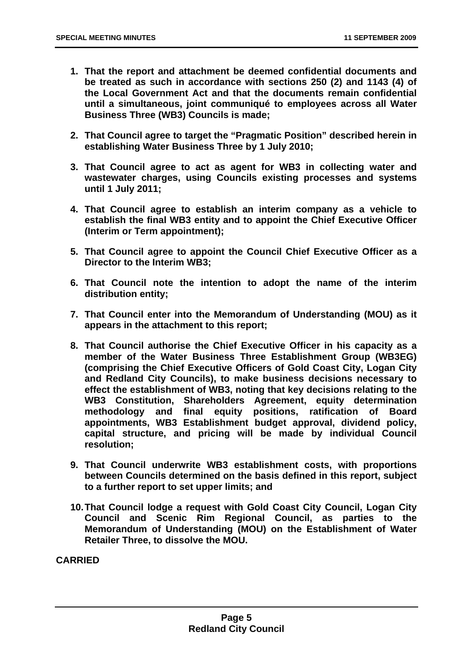- **1. That the report and attachment be deemed confidential documents and be treated as such in accordance with sections 250 (2) and 1143 (4) of the Local Government Act and that the documents remain confidential until a simultaneous, joint communiqué to employees across all Water Business Three (WB3) Councils is made;**
- **2. That Council agree to target the "Pragmatic Position" described herein in establishing Water Business Three by 1 July 2010;**
- **3. That Council agree to act as agent for WB3 in collecting water and wastewater charges, using Councils existing processes and systems until 1 July 2011;**
- **4. That Council agree to establish an interim company as a vehicle to establish the final WB3 entity and to appoint the Chief Executive Officer (Interim or Term appointment);**
- **5. That Council agree to appoint the Council Chief Executive Officer as a Director to the Interim WB3;**
- **6. That Council note the intention to adopt the name of the interim distribution entity;**
- **7. That Council enter into the Memorandum of Understanding (MOU) as it appears in the attachment to this report;**
- **8. That Council authorise the Chief Executive Officer in his capacity as a member of the Water Business Three Establishment Group (WB3EG) (comprising the Chief Executive Officers of Gold Coast City, Logan City and Redland City Councils), to make business decisions necessary to effect the establishment of WB3, noting that key decisions relating to the WB3 Constitution, Shareholders Agreement, equity determination methodology and final equity positions, ratification of Board appointments, WB3 Establishment budget approval, dividend policy, capital structure, and pricing will be made by individual Council resolution;**
- **9. That Council underwrite WB3 establishment costs, with proportions between Councils determined on the basis defined in this report, subject to a further report to set upper limits; and**
- **10. That Council lodge a request with Gold Coast City Council, Logan City Council and Scenic Rim Regional Council, as parties to the Memorandum of Understanding (MOU) on the Establishment of Water Retailer Three, to dissolve the MOU.**

**CARRIED**